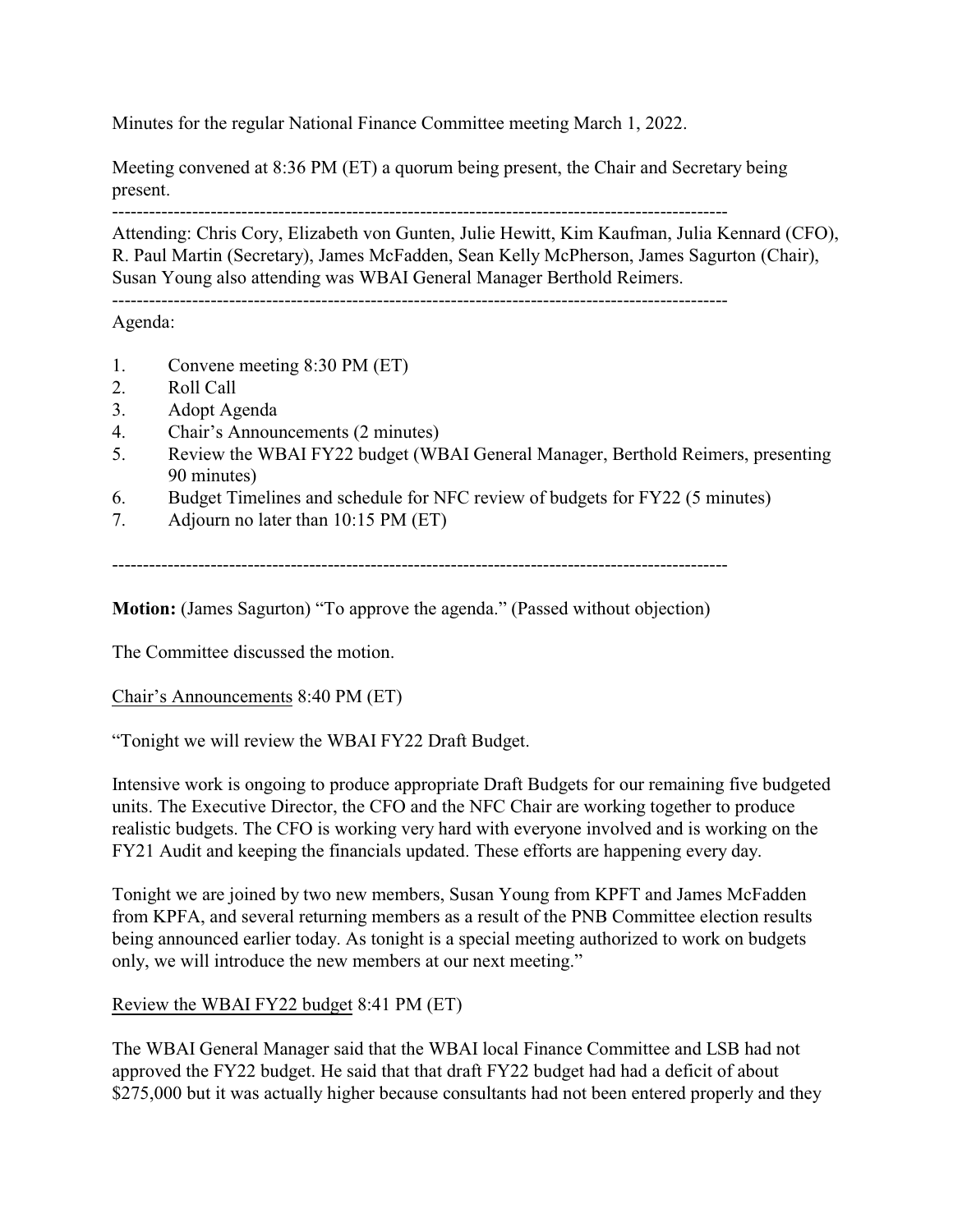Minutes for the regular National Finance Committee meeting March 1, 2022.

Meeting convened at 8:36 PM (ET) a quorum being present, the Chair and Secretary being present.

----------------------------------------------------------------------------------------------------

Attending: Chris Cory, Elizabeth von Gunten, Julie Hewitt, Kim Kaufman, Julia Kennard (CFO), R. Paul Martin (Secretary), James McFadden, Sean Kelly McPherson, James Sagurton (Chair), Susan Young also attending was WBAI General Manager Berthold Reimers.

----------------------------------------------------------------------------------------------------

Agenda:

- 1. Convene meeting 8:30 PM (ET)
- 2. Roll Call
- 3. Adopt Agenda
- 4. Chair's Announcements (2 minutes)
- 5. Review the WBAI FY22 budget (WBAI General Manager, Berthold Reimers, presenting 90 minutes)
- 6. Budget Timelines and schedule for NFC review of budgets for FY22 (5 minutes)
- 7. Adjourn no later than 10:15 PM (ET)

----------------------------------------------------------------------------------------------------

**Motion:** (James Sagurton) "To approve the agenda." (Passed without objection)

The Committee discussed the motion.

Chair's Announcements 8:40 PM (ET)

"Tonight we will review the WBAI FY22 Draft Budget.

Intensive work is ongoing to produce appropriate Draft Budgets for our remaining five budgeted units. The Executive Director, the CFO and the NFC Chair are working together to produce realistic budgets. The CFO is working very hard with everyone involved and is working on the FY21 Audit and keeping the financials updated. These efforts are happening every day.

Tonight we are joined by two new members, Susan Young from KPFT and James McFadden from KPFA, and several returning members as a result of the PNB Committee election results being announced earlier today. As tonight is a special meeting authorized to work on budgets only, we will introduce the new members at our next meeting."

Review the WBAI FY22 budget 8:41 PM (ET)

The WBAI General Manager said that the WBAI local Finance Committee and LSB had not approved the FY22 budget. He said that that draft FY22 budget had had a deficit of about \$275,000 but it was actually higher because consultants had not been entered properly and they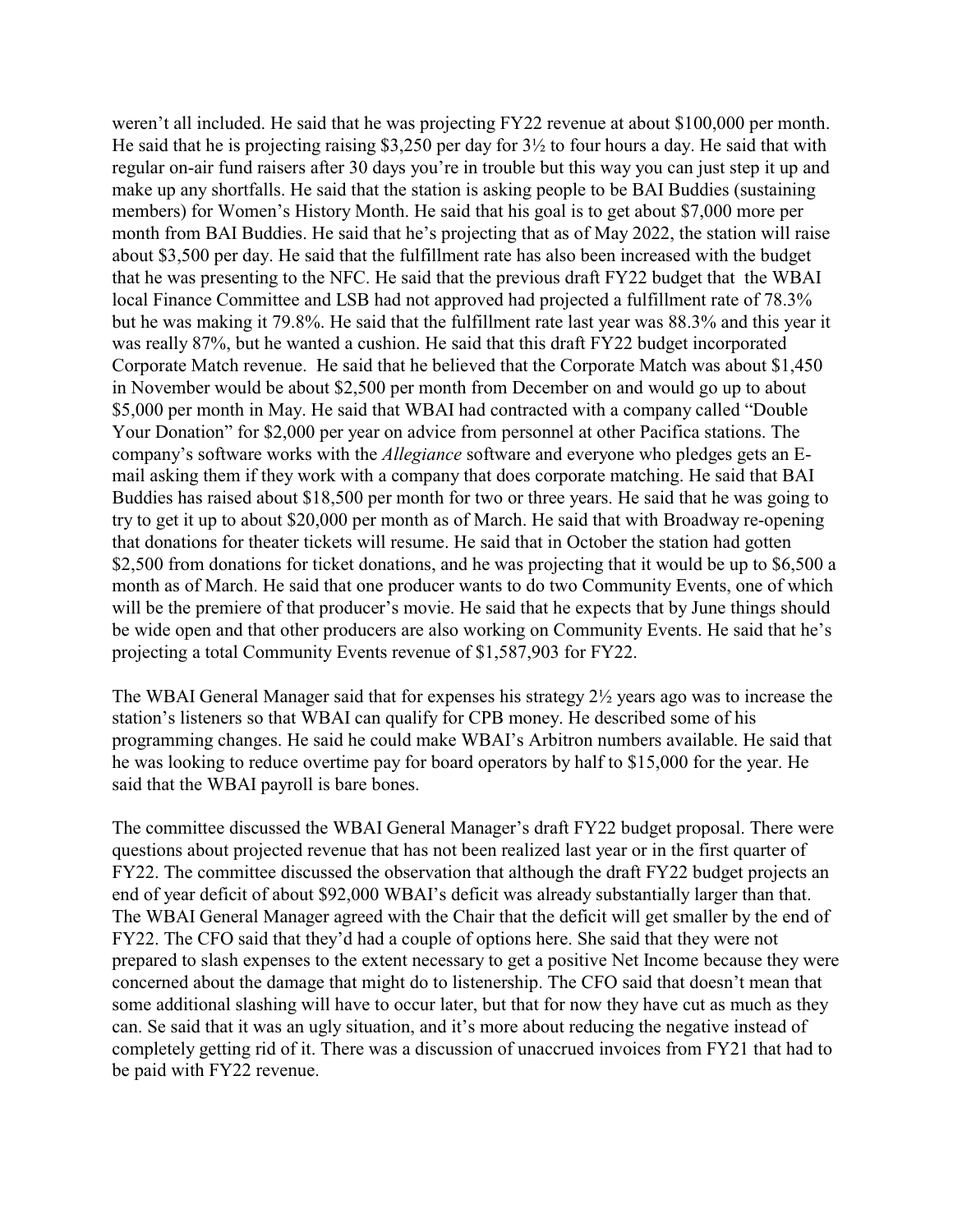weren't all included. He said that he was projecting FY22 revenue at about \$100,000 per month. He said that he is projecting raising \$3,250 per day for 3½ to four hours a day. He said that with regular on-air fund raisers after 30 days you're in trouble but this way you can just step it up and make up any shortfalls. He said that the station is asking people to be BAI Buddies (sustaining members) for Women's History Month. He said that his goal is to get about \$7,000 more per month from BAI Buddies. He said that he's projecting that as of May 2022, the station will raise about \$3,500 per day. He said that the fulfillment rate has also been increased with the budget that he was presenting to the NFC. He said that the previous draft FY22 budget that the WBAI local Finance Committee and LSB had not approved had projected a fulfillment rate of 78.3% but he was making it 79.8%. He said that the fulfillment rate last year was 88.3% and this year it was really 87%, but he wanted a cushion. He said that this draft FY22 budget incorporated Corporate Match revenue. He said that he believed that the Corporate Match was about \$1,450 in November would be about \$2,500 per month from December on and would go up to about \$5,000 per month in May. He said that WBAI had contracted with a company called "Double Your Donation" for \$2,000 per year on advice from personnel at other Pacifica stations. The company's software works with the *Allegiance* software and everyone who pledges gets an Email asking them if they work with a company that does corporate matching. He said that BAI Buddies has raised about \$18,500 per month for two or three years. He said that he was going to try to get it up to about \$20,000 per month as of March. He said that with Broadway re-opening that donations for theater tickets will resume. He said that in October the station had gotten \$2,500 from donations for ticket donations, and he was projecting that it would be up to \$6,500 a month as of March. He said that one producer wants to do two Community Events, one of which will be the premiere of that producer's movie. He said that he expects that by June things should be wide open and that other producers are also working on Community Events. He said that he's projecting a total Community Events revenue of \$1,587,903 for FY22.

The WBAI General Manager said that for expenses his strategy 2½ years ago was to increase the station's listeners so that WBAI can qualify for CPB money. He described some of his programming changes. He said he could make WBAI's Arbitron numbers available. He said that he was looking to reduce overtime pay for board operators by half to \$15,000 for the year. He said that the WBAI payroll is bare bones.

The committee discussed the WBAI General Manager's draft FY22 budget proposal. There were questions about projected revenue that has not been realized last year or in the first quarter of FY22. The committee discussed the observation that although the draft FY22 budget projects an end of year deficit of about \$92,000 WBAI's deficit was already substantially larger than that. The WBAI General Manager agreed with the Chair that the deficit will get smaller by the end of FY22. The CFO said that they'd had a couple of options here. She said that they were not prepared to slash expenses to the extent necessary to get a positive Net Income because they were concerned about the damage that might do to listenership. The CFO said that doesn't mean that some additional slashing will have to occur later, but that for now they have cut as much as they can. Se said that it was an ugly situation, and it's more about reducing the negative instead of completely getting rid of it. There was a discussion of unaccrued invoices from FY21 that had to be paid with FY22 revenue.